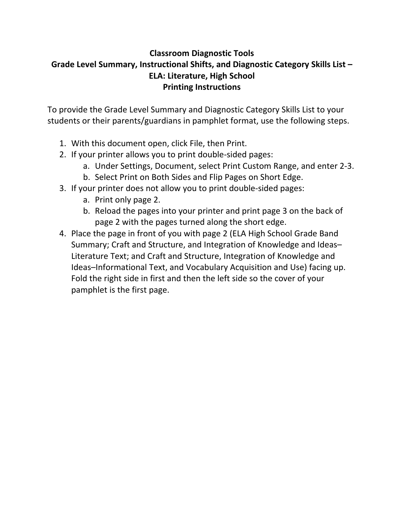## **Classroom Diagnostic Tools Grade Level Summary, Instructional Shifts, and Diagnostic Category Skills List – ELA: Literature, High School Printing Instructions**

To provide the Grade Level Summary and Diagnostic Category Skills List to your students or their parents/guardians in pamphlet format, use the following steps.

- 1. With this document open, click File, then Print.
- 2. If your printer allows you to print double‐sided pages:
	- a. Under Settings, Document, select Print Custom Range, and enter 2‐3.
	- b. Select Print on Both Sides and Flip Pages on Short Edge.
- 3. If your printer does not allow you to print double‐sided pages:
	- a. Print only page 2.
	- b. Reload the pages into your printer and print page 3 on the back of page 2 with the pages turned along the short edge.
- 4. Place the page in front of you with page 2 (ELA High School Grade Band Summary; Craft and Structure, and Integration of Knowledge and Ideas– Literature Text; and Craft and Structure, Integration of Knowledge and Ideas–Informational Text, and Vocabulary Acquisition and Use) facing up. Fold the right side in first and then the left side so the cover of your pamphlet is the first page.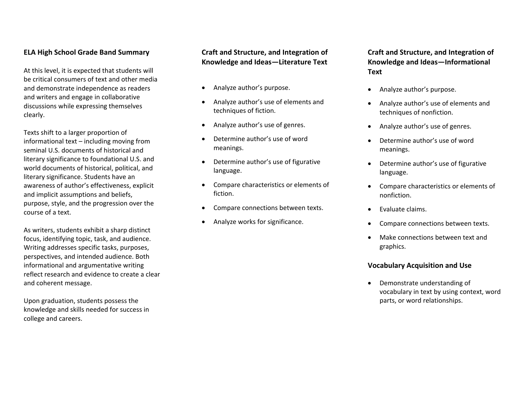#### **ELA High School Grade Band Summary**

At this level, it is expected that students will be critical consumers of text and other media and demonstrate independence as readers and writers and engage in collaborative discussions while expressing themselves clearly.

Texts shift to <sup>a</sup> larger proportion of informational text – including moving from seminal U.S. documents of historical andliterary significance to foundational U.S. and world documents of historical, political, and literary significance. Students have an awareness of author's effectiveness, explicit and implicit assumptions and beliefs, purpose, style, and the progression over the course of <sup>a</sup> text.

As writers, students exhibit <sup>a</sup> sharp distinct focus, identifying topic, task, and audience. Writing addresses specific tasks, purposes, perspectives, and intended audience. Both informational and argumentative writing reflect research and evidence to create <sup>a</sup> clear and coherent message.

Upon graduation, students possess the knowledge and skills needed for success in college and careers.

#### **Craft and Structure, and Integration of Knowledge and Ideas—Literature Text**

- c Analyze author's purpose.
- c Analyze author's use of elements and techniques of fiction.
- 6 Analyze author's use of genres.
- 6 Determine author's use of wordmeanings.
- $\bullet$  Determine author's use of figurative language.
- c Compare characteristics or elements of fiction.
- 6 Compare connections between texts.
- 6 Analyze works for significance.

**Craft and Structure, and Integration of Knowledge and Ideas—Informational Text**

- 6 Analyze author's purpose.
- Analyze author's use of elements and techniques of nonfiction.
- e Analyze author's use of genres.
- e Determine author's use of wordmeanings.
- 6 Determine author's use of figurative language.
- Compare characteristics or elements of nonfiction.
- $\bullet$ Evaluate claims.
- c Compare connections between texts.
- c Make connections between text and graphics.

#### **Vocabulary Acquisition and Use**

 Demonstrate understanding of vocabulary in text by using context, word parts, or word relationships.